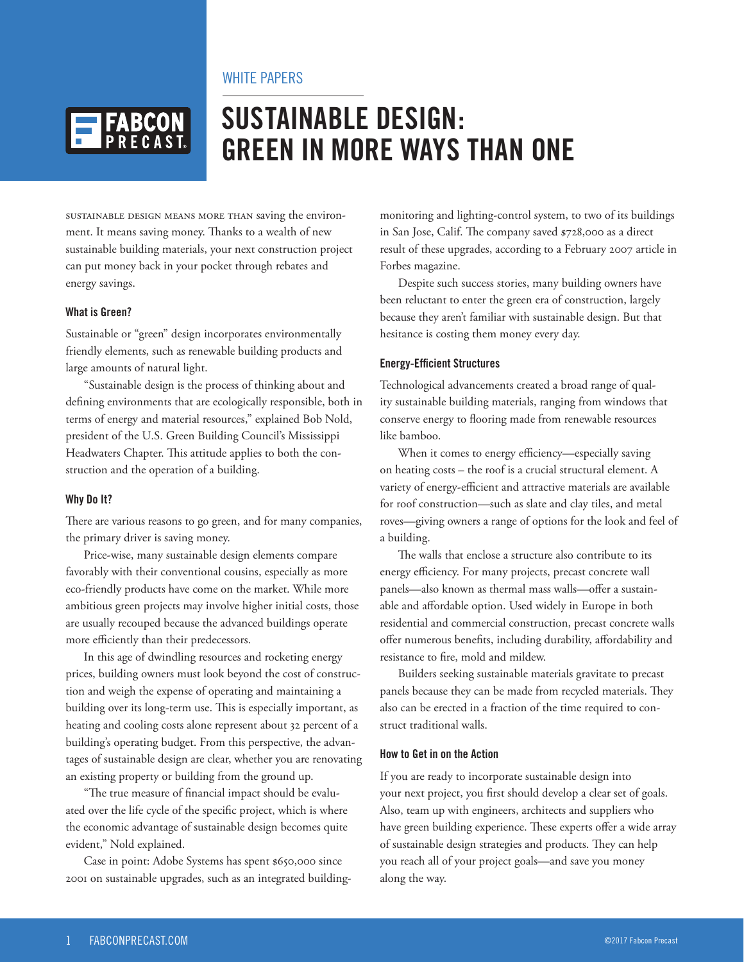## WHITE PAPERS



# **SUSTAINABLE DESIGN: GREEN IN MORE WAYS THAN ONE**

Sustainable design means more than saving the environment. It means saving money. Thanks to a wealth of new sustainable building materials, your next construction project can put money back in your pocket through rebates and energy savings.

#### **What is Green?**

Sustainable or "green" design incorporates environmentally friendly elements, such as renewable building products and large amounts of natural light.

"Sustainable design is the process of thinking about and defining environments that are ecologically responsible, both in terms of energy and material resources," explained Bob Nold, president of the U.S. Green Building Council's Mississippi Headwaters Chapter. This attitude applies to both the construction and the operation of a building.

#### **Why Do It?**

There are various reasons to go green, and for many companies, the primary driver is saving money.

Price-wise, many sustainable design elements compare favorably with their conventional cousins, especially as more eco-friendly products have come on the market. While more ambitious green projects may involve higher initial costs, those are usually recouped because the advanced buildings operate more efficiently than their predecessors.

In this age of dwindling resources and rocketing energy prices, building owners must look beyond the cost of construction and weigh the expense of operating and maintaining a building over its long-term use. This is especially important, as heating and cooling costs alone represent about 32 percent of a building's operating budget. From this perspective, the advantages of sustainable design are clear, whether you are renovating an existing property or building from the ground up.

"The true measure of financial impact should be evaluated over the life cycle of the specific project, which is where the economic advantage of sustainable design becomes quite evident," Nold explained.

Case in point: Adobe Systems has spent \$650,000 since 2001 on sustainable upgrades, such as an integrated buildingmonitoring and lighting-control system, to two of its buildings in San Jose, Calif. The company saved \$728,000 as a direct result of these upgrades, according to a February 2007 article in Forbes magazine.

Despite such success stories, many building owners have been reluctant to enter the green era of construction, largely because they aren't familiar with sustainable design. But that hesitance is costing them money every day.

#### **Energy-Efficient Structures**

Technological advancements created a broad range of quality sustainable building materials, ranging from windows that conserve energy to flooring made from renewable resources like bamboo.

When it comes to energy efficiency—especially saving on heating costs – the roof is a crucial structural element. A variety of energy-efficient and attractive materials are available for roof construction—such as slate and clay tiles, and metal roves—giving owners a range of options for the look and feel of a building.

The walls that enclose a structure also contribute to its energy efficiency. For many projects, precast concrete wall panels—also known as thermal mass walls—offer a sustainable and affordable option. Used widely in Europe in both residential and commercial construction, precast concrete walls offer numerous benefits, including durability, affordability and resistance to fire, mold and mildew.

Builders seeking sustainable materials gravitate to precast panels because they can be made from recycled materials. They also can be erected in a fraction of the time required to construct traditional walls.

### **How to Get in on the Action**

If you are ready to incorporate sustainable design into your next project, you first should develop a clear set of goals. Also, team up with engineers, architects and suppliers who have green building experience. These experts offer a wide array of sustainable design strategies and products. They can help you reach all of your project goals—and save you money along the way.